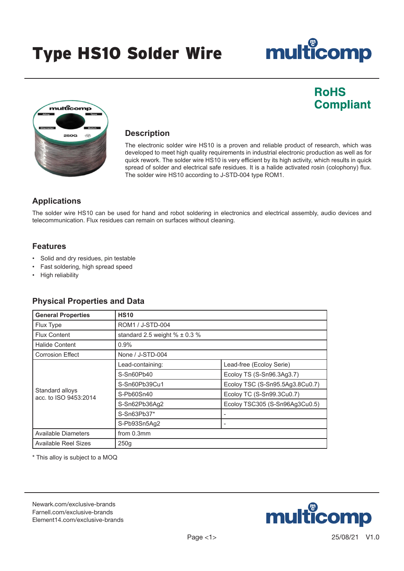### Type HS10 Solder Wire

# multicomp

### **RoHS Compliant**



#### **Description**

The electronic solder wire HS10 is a proven and reliable product of research, which was developed to meet high quality requirements in industrial electronic production as well as for quick rework. The solder wire HS10 is very efficient by its high activity, which results in quick spread of solder and electrical safe residues. It is a halide activated rosin (colophony) flux. The solder wire HS10 according to J-STD-004 type ROM1.

#### **Applications**

The solder wire HS10 can be used for hand and robot soldering in electronics and electrical assembly, audio devices and telecommunication. Flux residues can remain on surfaces without cleaning.

#### **Features**

- Solid and dry residues, pin testable
- Fast soldering, high spread speed
- High reliability

#### **Physical Properties and Data**

| <b>General Properties</b>                | <b>HS10</b>                       |                                 |
|------------------------------------------|-----------------------------------|---------------------------------|
| Flux Type                                | ROM1 / J-STD-004                  |                                 |
| <b>Flux Content</b>                      | standard 2.5 weight % $\pm$ 0.3 % |                                 |
| <b>Halide Content</b>                    | 0.9%                              |                                 |
| <b>Corrosion Effect</b>                  | None / J-STD-004                  |                                 |
| Standard alloys<br>acc. to ISO 9453:2014 | Lead-containing:                  | Lead-free (Ecoloy Serie)        |
|                                          | S-Sn60Pb40                        | Ecoloy TS (S-Sn96.3Ag3.7)       |
|                                          | S-Sn60Pb39Cu1                     | Ecoloy TSC (S-Sn95.5Ag3.8Cu0.7) |
|                                          | S-Pb60Sn40                        | Ecoloy TC (S-Sn99.3Cu0.7)       |
|                                          | S-Sn62Pb36Aq2                     | Ecoloy TSC305 (S-Sn96Ag3Cu0.5)  |
|                                          | $S-Sn63Pb37*$                     |                                 |
|                                          | S-Pb93Sn5Ag2                      |                                 |
| Available Diameters                      | from $0.3$ mm                     |                                 |
| Available Reel Sizes                     | 250q                              |                                 |

\* This alloy is subject to a MOQ

[Newark.com/exclusive-brands](https://www.newark.com/exclusive-brands) [Farnell.com/exclusive-brands](https://www.farnell.com/exclusive-brands) [Element14.com/exclusive-brands](https://element14.com/exclusive-brands)